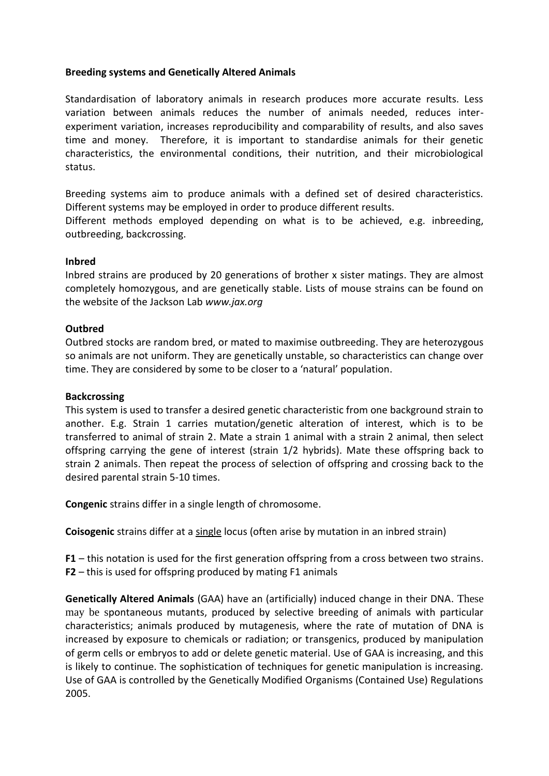# **Breeding systems and Genetically Altered Animals**

Standardisation of laboratory animals in research produces more accurate results. Less variation between animals reduces the number of animals needed, reduces interexperiment variation, increases reproducibility and comparability of results, and also saves time and money. Therefore, it is important to standardise animals for their genetic characteristics, the environmental conditions, their nutrition, and their microbiological status.

Breeding systems aim to produce animals with a defined set of desired characteristics. Different systems may be employed in order to produce different results.

Different methods employed depending on what is to be achieved, e.g. inbreeding, outbreeding, backcrossing.

### **Inbred**

Inbred strains are produced by 20 generations of brother x sister matings. They are almost completely homozygous, and are genetically stable. Lists of mouse strains can be found on the website of the Jackson Lab *www.jax.org*

# **Outbred**

Outbred stocks are random bred, or mated to maximise outbreeding. They are heterozygous so animals are not uniform. They are genetically unstable, so characteristics can change over time. They are considered by some to be closer to a 'natural' population.

### **Backcrossing**

This system is used to transfer a desired genetic characteristic from one background strain to another. E.g. Strain 1 carries mutation/genetic alteration of interest, which is to be transferred to animal of strain 2. Mate a strain 1 animal with a strain 2 animal, then select offspring carrying the gene of interest (strain 1/2 hybrids). Mate these offspring back to strain 2 animals. Then repeat the process of selection of offspring and crossing back to the desired parental strain 5-10 times.

**Congenic** strains differ in a single length of chromosome.

**Coisogenic** strains differ at a single locus (often arise by mutation in an inbred strain)

**F1** – this notation is used for the first generation offspring from a cross between two strains. **F2** – this is used for offspring produced by mating F1 animals

**Genetically Altered Animals** (GAA) have an (artificially) induced change in their DNA. These may be spontaneous mutants, produced by selective breeding of animals with particular characteristics; animals produced by mutagenesis, where the rate of mutation of DNA is increased by exposure to chemicals or radiation; or transgenics, produced by manipulation of germ cells or embryos to add or delete genetic material. Use of GAA is increasing, and this is likely to continue. The sophistication of techniques for genetic manipulation is increasing. Use of GAA is controlled by the Genetically Modified Organisms (Contained Use) Regulations 2005.